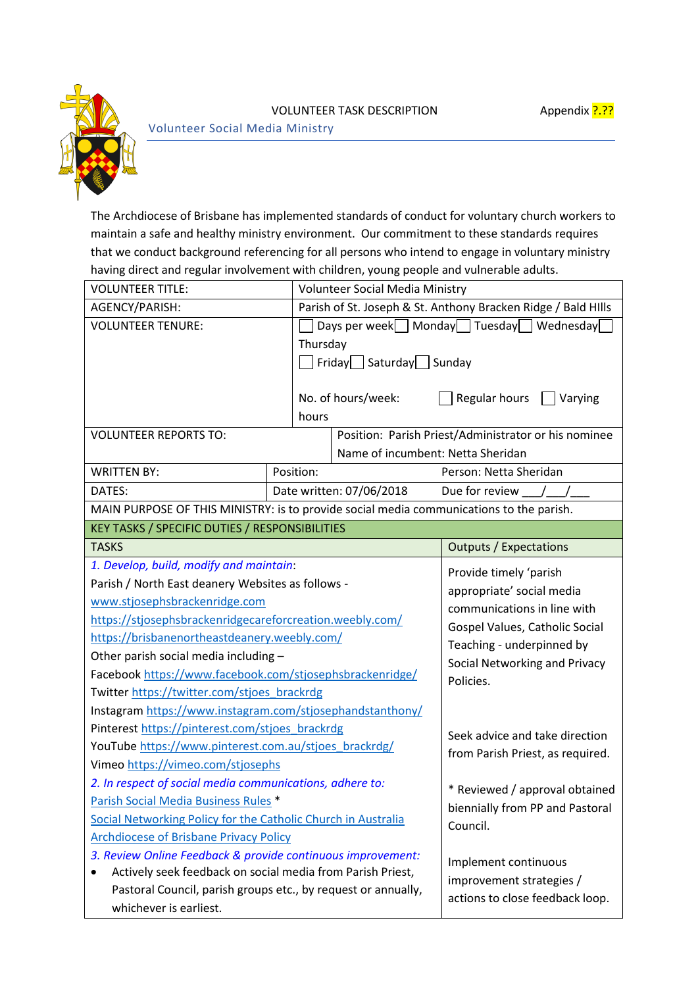

Volunteer Social Media Ministry

The Archdiocese of Brisbane has implemented standards of conduct for voluntary church workers to maintain a safe and healthy ministry environment. Our commitment to these standards requires that we conduct background referencing for all persons who intend to engage in voluntary ministry having direct and regular involvement with children, young people and vulnerable adults.

| <b>VOLUNTEER TITLE:</b>                                                                                                   |           | <b>Volunteer Social Media Ministry</b>               |                                                                                                                                                                                    |  |  |
|---------------------------------------------------------------------------------------------------------------------------|-----------|------------------------------------------------------|------------------------------------------------------------------------------------------------------------------------------------------------------------------------------------|--|--|
| AGENCY/PARISH:                                                                                                            |           |                                                      | Parish of St. Joseph & St. Anthony Bracken Ridge / Bald Hills                                                                                                                      |  |  |
| <b>VOLUNTEER TENURE:</b>                                                                                                  |           | Days per week   Monday Tuesday Wednesday             |                                                                                                                                                                                    |  |  |
|                                                                                                                           | Thursday  |                                                      |                                                                                                                                                                                    |  |  |
|                                                                                                                           |           | $\lceil$ Friday $\lceil$ Saturday $\lceil$ Sunday    |                                                                                                                                                                                    |  |  |
|                                                                                                                           |           |                                                      |                                                                                                                                                                                    |  |  |
|                                                                                                                           |           | No. of hours/week:                                   | Regular hours<br>Varying                                                                                                                                                           |  |  |
|                                                                                                                           | hours     |                                                      |                                                                                                                                                                                    |  |  |
| <b>VOLUNTEER REPORTS TO:</b>                                                                                              |           | Position: Parish Priest/Administrator or his nominee |                                                                                                                                                                                    |  |  |
|                                                                                                                           |           | Name of incumbent: Netta Sheridan                    |                                                                                                                                                                                    |  |  |
| <b>WRITTEN BY:</b>                                                                                                        | Position: |                                                      | Person: Netta Sheridan                                                                                                                                                             |  |  |
| DATES:                                                                                                                    |           | Date written: 07/06/2018                             | Due for review                                                                                                                                                                     |  |  |
| MAIN PURPOSE OF THIS MINISTRY: is to provide social media communications to the parish.                                   |           |                                                      |                                                                                                                                                                                    |  |  |
| <b>KEY TASKS / SPECIFIC DUTIES / RESPONSIBILITIES</b>                                                                     |           |                                                      |                                                                                                                                                                                    |  |  |
| <b>TASKS</b>                                                                                                              |           |                                                      | <b>Outputs / Expectations</b>                                                                                                                                                      |  |  |
| 1. Develop, build, modify and maintain:                                                                                   |           |                                                      | Provide timely 'parish<br>appropriate' social media<br>communications in line with<br>Gospel Values, Catholic Social<br>Teaching - underpinned by<br>Social Networking and Privacy |  |  |
| Parish / North East deanery Websites as follows -                                                                         |           |                                                      |                                                                                                                                                                                    |  |  |
| www.stjosephsbrackenridge.com                                                                                             |           |                                                      |                                                                                                                                                                                    |  |  |
| https://stjosephsbrackenridgecareforcreation.weebly.com/                                                                  |           |                                                      |                                                                                                                                                                                    |  |  |
| https://brisbanenortheastdeanery.weebly.com/                                                                              |           |                                                      |                                                                                                                                                                                    |  |  |
| Other parish social media including -                                                                                     |           |                                                      |                                                                                                                                                                                    |  |  |
| Facebook https://www.facebook.com/stjosephsbrackenridge/                                                                  |           |                                                      | Policies.                                                                                                                                                                          |  |  |
| Twitter https://twitter.com/stjoes brackrdg                                                                               |           |                                                      |                                                                                                                                                                                    |  |  |
| Instagram https://www.instagram.com/stjosephandstanthony/                                                                 |           |                                                      |                                                                                                                                                                                    |  |  |
| Pinterest https://pinterest.com/stjoes_brackrdg                                                                           |           |                                                      | Seek advice and take direction                                                                                                                                                     |  |  |
| YouTube https://www.pinterest.com.au/stjoes_brackrdg/                                                                     |           |                                                      | from Parish Priest, as required.                                                                                                                                                   |  |  |
| Vimeo https://vimeo.com/stjosephs                                                                                         |           |                                                      |                                                                                                                                                                                    |  |  |
| 2. In respect of social media communications, adhere to:                                                                  |           |                                                      | * Reviewed / approval obtained<br>biennially from PP and Pastoral<br>Council.                                                                                                      |  |  |
| Parish Social Media Business Rules *                                                                                      |           |                                                      |                                                                                                                                                                                    |  |  |
| Social Networking Policy for the Catholic Church in Australia                                                             |           |                                                      |                                                                                                                                                                                    |  |  |
| <b>Archdiocese of Brisbane Privacy Policy</b>                                                                             |           |                                                      |                                                                                                                                                                                    |  |  |
| 3. Review Online Feedback & provide continuous improvement:<br>Actively seek feedback on social media from Parish Priest, |           |                                                      | Implement continuous                                                                                                                                                               |  |  |
|                                                                                                                           |           |                                                      | improvement strategies /<br>actions to close feedback loop.                                                                                                                        |  |  |
| Pastoral Council, parish groups etc., by request or annually,                                                             |           |                                                      |                                                                                                                                                                                    |  |  |
| whichever is earliest.                                                                                                    |           |                                                      |                                                                                                                                                                                    |  |  |